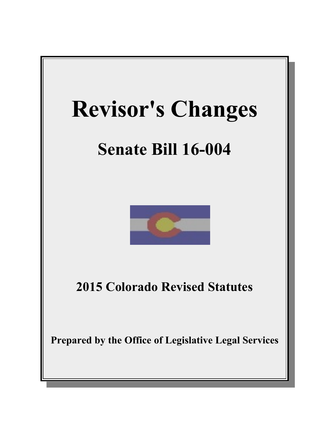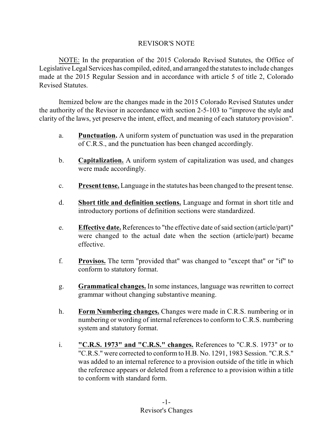## REVISOR'S NOTE

NOTE: In the preparation of the 2015 Colorado Revised Statutes, the Office of Legislative Legal Services has compiled, edited, and arranged the statutes to include changes made at the 2015 Regular Session and in accordance with article 5 of title 2, Colorado Revised Statutes.

Itemized below are the changes made in the 2015 Colorado Revised Statutes under the authority of the Revisor in accordance with section 2-5-103 to "improve the style and clarity of the laws, yet preserve the intent, effect, and meaning of each statutory provision".

- a. **Punctuation.** A uniform system of punctuation was used in the preparation of C.R.S., and the punctuation has been changed accordingly.
- b. **Capitalization.** A uniform system of capitalization was used, and changes were made accordingly.
- c. **Present tense.** Language in the statutes has been changed to the present tense.
- d. **Short title and definition sections.** Language and format in short title and introductory portions of definition sections were standardized.
- e. **Effective date.** References to "the effective date of said section (article/part)" were changed to the actual date when the section (article/part) became effective.
- f. **Provisos.** The term "provided that" was changed to "except that" or "if" to conform to statutory format.
- g. **Grammatical changes.** In some instances, language was rewritten to correct grammar without changing substantive meaning.
- h. **Form Numbering changes.** Changes were made in C.R.S. numbering or in numbering or wording of internal references to conform to C.R.S. numbering system and statutory format.
- i. **"C.R.S. 1973" and "C.R.S." changes.** References to "C.R.S. 1973" or to "C.R.S." were corrected to conform to H.B. No. 1291, 1983 Session. "C.R.S." was added to an internal reference to a provision outside of the title in which the reference appears or deleted from a reference to a provision within a title to conform with standard form.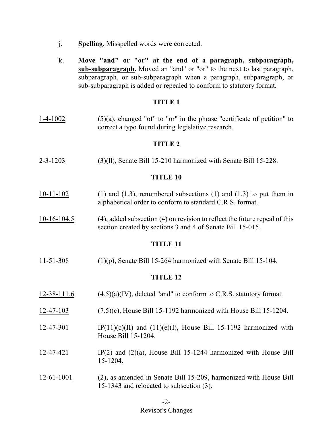- j. **Spelling.** Misspelled words were corrected.
- k. **Move "and" or "or" at the end of a paragraph, subparagraph, sub-subparagraph.** Moved an "and" or "or" to the next to last paragraph, subparagraph, or sub-subparagraph when a paragraph, subparagraph, or sub-subparagraph is added or repealed to conform to statutory format.

## **TITLE 1**

1-4-1002  $(5)(a)$ , changed "of" to "or" in the phrase "certificate of petition" to correct a typo found during legislative research.

## **TITLE 2**

2-3-1203 (3)(ll), Senate Bill 15-210 harmonized with Senate Bill 15-228.

## **TITLE 10**

- 10-11-102 (1) and (1.3), renumbered subsections (1) and (1.3) to put them in alphabetical order to conform to standard C.R.S. format.
- 10-16-104.5 (4), added subsection (4) on revision to reflect the future repeal of this section created by sections 3 and 4 of Senate Bill 15-015.

#### **TITLE 11**

11-51-308 (1)(p), Senate Bill 15-264 harmonized with Senate Bill 15-104.

- 12-38-111.6  $(4.5)(a)(IV)$ , deleted "and" to conform to C.R.S. statutory format.
- 12-47-103 (7.5)(c), House Bill 15-1192 harmonized with House Bill 15-1204.
- 12-47-301 IP(11)(c)(II) and (11)(e)(I), House Bill 15-1192 harmonized with House Bill 15-1204.
- 12-47-421 IP(2) and (2)(a), House Bill 15-1244 harmonized with House Bill 15-1204.
- 12-61-1001 (2), as amended in Senate Bill 15-209, harmonized with House Bill 15-1343 and relocated to subsection (3).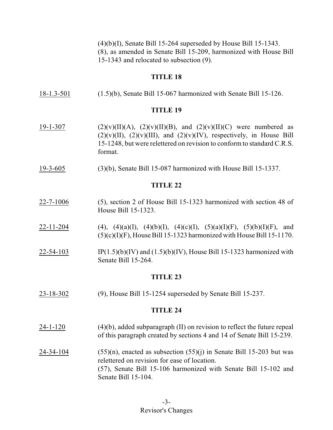$(4)(b)(I)$ , Senate Bill 15-264 superseded by House Bill 15-1343. (8), as amended in Senate Bill 15-209, harmonized with House Bill 15-1343 and relocated to subsection (9).

## **TITLE 18**

18-1.3-501 (1.5)(b), Senate Bill 15-067 harmonized with Senate Bill 15-126.

#### **TITLE 19**

- 19-1-307 (2)(v)(II)(A), (2)(v)(II)(B), and (2)(v)(II)(C) were numbered as  $(2)(v)(II)$ ,  $(2)(v)(III)$ , and  $(2)(v)(IV)$ , respectively, in House Bill 15-1248, but were relettered on revision to conform to standard C.R.S. format.
- 19-3-605 (3)(b), Senate Bill 15-087 harmonized with House Bill 15-1337.

#### **TITLE 22**

- 22-7-1006 (5), section 2 of House Bill 15-1323 harmonized with section 48 of House Bill 15-1323.
- 22-11-204 (4), (4)(a)(I), (4)(b)(I), (4)(c)(I), (5)(a)(I)(F), (5)(b)(I)(F), and  $(5)(c)(I)(F)$ , House Bill 15-1323 harmonized with House Bill 15-1170.
- 22-54-103 IP(1.5)(b)(IV) and (1.5)(b)(IV), House Bill 15-1323 harmonized with Senate Bill 15-264.

#### **TITLE 23**

23-18-302 (9), House Bill 15-1254 superseded by Senate Bill 15-237.

- $24-1-120$  (4)(b), added subparagraph (II) on revision to reflect the future repeal of this paragraph created by sections 4 and 14 of Senate Bill 15-239.
- 24-34-104  $(55)(n)$ , enacted as subsection  $(55)(i)$  in Senate Bill 15-203 but was relettered on revision for ease of location. (57), Senate Bill 15-106 harmonized with Senate Bill 15-102 and Senate Bill 15-104.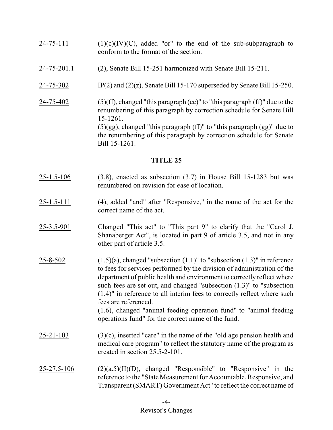- $24-75-111$  (1)(c)(IV)(C), added "or" to the end of the sub-subparagraph to conform to the format of the section.
- 24-75-201.1 (2), Senate Bill 15-251 harmonized with Senate Bill 15-211.
- 24-75-302 IP(2) and (2)(z), Senate Bill 15-170 superseded by Senate Bill 15-250.
- 24-75-402 (5)(ff), changed "this paragraph (ee)" to "this paragraph (ff)" due to the renumbering of this paragraph by correction schedule for Senate Bill 15-1261.  $(5)(gg)$ , changed "this paragraph (ff)" to "this paragraph  $(gg)$ " due to the renumbering of this paragraph by correction schedule for Senate Bill 15-1261.

- 25-1.5-106 (3.8), enacted as subsection (3.7) in House Bill 15-1283 but was renumbered on revision for ease of location.
- 25-1.5-111 (4), added "and" after "Responsive," in the name of the act for the correct name of the act.
- 25-3.5-901 Changed "This act" to "This part 9" to clarify that the "Carol J. Shanaberger Act", is located in part 9 of article 3.5, and not in any other part of article 3.5.
- $25-8-502$  (1.5)(a), changed "subsection  $(1.1)$ " to "subsection  $(1.3)$ " in reference to fees for services performed by the division of administration of the department of public health and environment to correctly reflect where such fees are set out, and changed "subsection (1.3)" to "subsection (1.4)" in reference to all interim fees to correctly reflect where such fees are referenced. (1.6), changed "animal feeding operation fund" to "animal feeding operations fund" for the correct name of the fund.
- 25-21-103 (3)(c), inserted "care" in the name of the "old age pension health and medical care program" to reflect the statutory name of the program as created in section 25.5-2-101.
- $25-27.5-106$  (2)(a.5)(II)(D), changed "Responsible" to "Responsive" in the reference to the "State Measurement for Accountable, Responsive, and Transparent(SMART) Government Act" to reflect the correct name of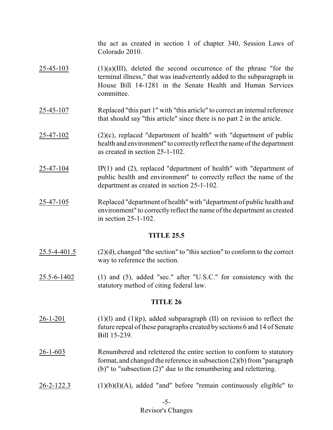the act as created in section 1 of chapter 340, Session Laws of Colorado 2010.

- $25-45-103$  (1)(a)(III), deleted the second occurrence of the phrase "for the terminal illness," that was inadvertently added to the subparagraph in House Bill 14-1281 in the Senate Health and Human Services committee.
- 25-45-107 Replaced "this part 1" with "this article" to correct an internal reference that should say "this article" since there is no part 2 in the article.
- 25-47-102 (2)(c), replaced "department of health" with "department of public health and environment" to correctly reflect the name of the department as created in section 25-1-102.
- 25-47-104 IP(1) and (2), replaced "department of health" with "department of public health and environment" to correctly reflect the name of the department as created in section 25-1-102.
- 25-47-105 Replaced "department of health" with "department of public health and environment" to correctly reflect the name of the department as created in section 25-1-102.

## **TITLE 25.5**

- 25.5-4-401.5 (2)(d), changed "the section" to "this section" to conform to the correct way to reference the section.
- 25.5-6-1402 (1) and (5), added "sec." after "U.S.C." for consistency with the statutory method of citing federal law.

- $26-1-201$  (1)(1) and (1)(p), added subparagraph (II) on revision to reflect the future repeal of these paragraphs created by sections 6 and 14 of Senate Bill 15-239.
- 26-1-603 Renumbered and relettered the entire section to conform to statutory format, and changed the reference in subsection (2)(b) from"paragraph (b)" to "subsection (2)" due to the renumbering and relettering.
- $26-2-122.3$  (1)(b)(I)(A), added "and" before "remain continuously eligible" to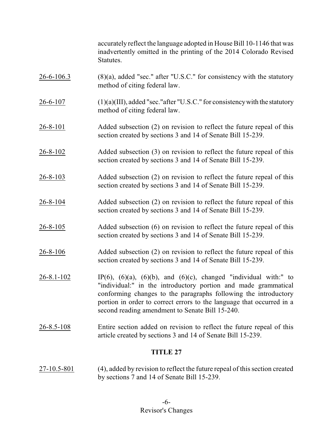accurately reflect the language adopted in House Bill 10-1146 that was inadvertently omitted in the printing of the 2014 Colorado Revised Statutes.

- 26-6-106.3 (8)(a), added "sec." after "U.S.C." for consistency with the statutory method of citing federal law.
- $26-6-107$  (1)(a)(III), added "sec." after "U.S.C." for consistency with the statutory method of citing federal law.
- 26-8-101 Added subsection (2) on revision to reflect the future repeal of this section created by sections 3 and 14 of Senate Bill 15-239.
- 26-8-102 Added subsection (3) on revision to reflect the future repeal of this section created by sections 3 and 14 of Senate Bill 15-239.
- 26-8-103 Added subsection (2) on revision to reflect the future repeal of this section created by sections 3 and 14 of Senate Bill 15-239.
- 26-8-104 Added subsection (2) on revision to reflect the future repeal of this section created by sections 3 and 14 of Senate Bill 15-239.
- 26-8-105 Added subsection (6) on revision to reflect the future repeal of this section created by sections 3 and 14 of Senate Bill 15-239.
- 26-8-106 Added subsection (2) on revision to reflect the future repeal of this section created by sections 3 and 14 of Senate Bill 15-239.
- 26-8.1-102 IP(6), (6)(a), (6)(b), and (6)(c), changed "individual with:" to "individual:" in the introductory portion and made grammatical conforming changes to the paragraphs following the introductory portion in order to correct errors to the language that occurred in a second reading amendment to Senate Bill 15-240.
- 26-8.5-108 Entire section added on revision to reflect the future repeal of this article created by sections 3 and 14 of Senate Bill 15-239.

# **TITLE 27**

27-10.5-801 (4), added by revision to reflect the future repeal of this section created by sections 7 and 14 of Senate Bill 15-239.